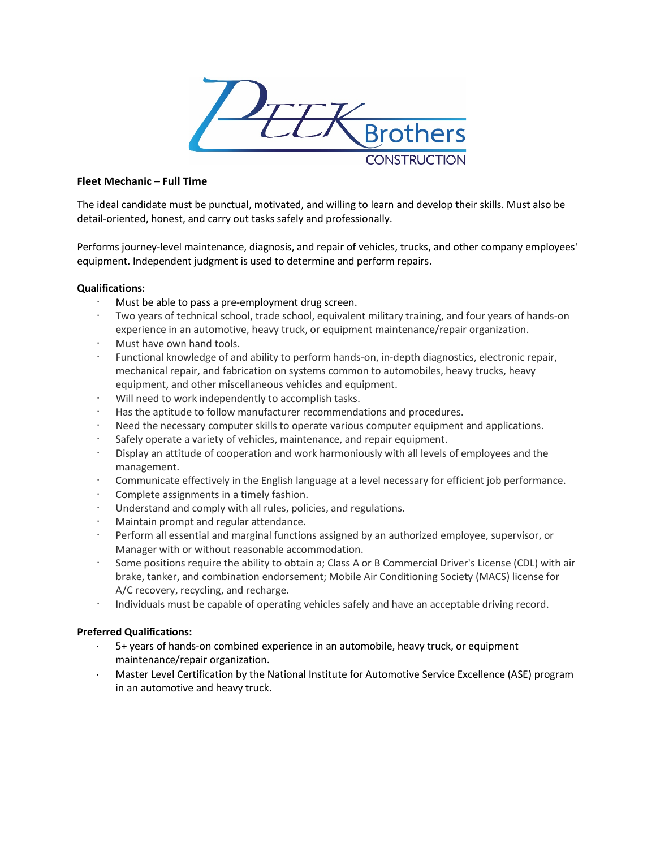

# **Fleet Mechanic – Full Time**

The ideal candidate must be punctual, motivated, and willing to learn and develop their skills. Must also be detail-oriented, honest, and carry out tasks safely and professionally.

Performs journey-level maintenance, diagnosis, and repair of vehicles, trucks, and other company employees' equipment. Independent judgment is used to determine and perform repairs.

## **Qualifications:**

- Must be able to pass a pre-employment drug screen.
- · Two years of technical school, trade school, equivalent military training, and four years of hands-on experience in an automotive, heavy truck, or equipment maintenance/repair organization.
- Must have own hand tools.
- Functional knowledge of and ability to perform hands-on, in-depth diagnostics, electronic repair, mechanical repair, and fabrication on systems common to automobiles, heavy trucks, heavy equipment, and other miscellaneous vehicles and equipment.
- · Will need to work independently to accomplish tasks.
- Has the aptitude to follow manufacturer recommendations and procedures.
- Need the necessary computer skills to operate various computer equipment and applications.
- Safely operate a variety of vehicles, maintenance, and repair equipment.
- Display an attitude of cooperation and work harmoniously with all levels of employees and the management.
- · Communicate effectively in the English language at a level necessary for efficient job performance.
- · Complete assignments in a timely fashion.
- Understand and comply with all rules, policies, and regulations.
- · Maintain prompt and regular attendance.
- Perform all essential and marginal functions assigned by an authorized employee, supervisor, or Manager with or without reasonable accommodation.
- Some positions require the ability to obtain a; Class A or B Commercial Driver's License (CDL) with air brake, tanker, and combination endorsement; Mobile Air Conditioning Society (MACS) license for A/C recovery, recycling, and recharge.
- · Individuals must be capable of operating vehicles safely and have an acceptable driving record.

## **Preferred Qualifications:**

- 5+ years of hands-on combined experience in an automobile, heavy truck, or equipment maintenance/repair organization.
- ⋅ Master Level Certification by the National Institute for Automotive Service Excellence (ASE) program in an automotive and heavy truck.